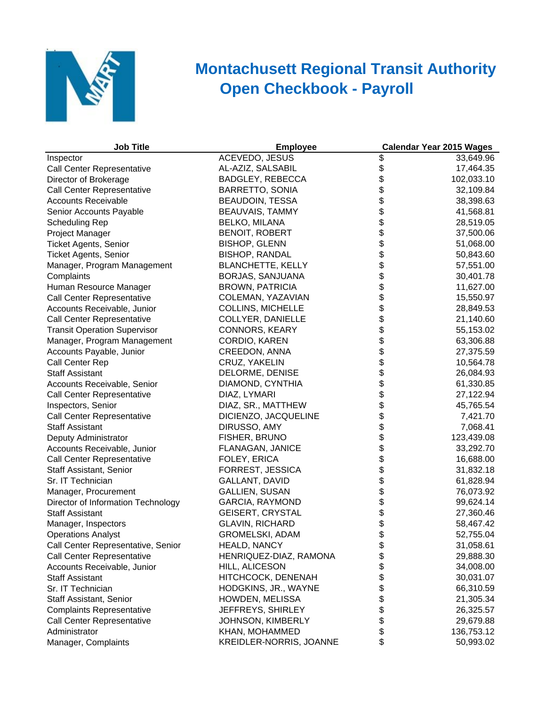

## **Open Checkbook - Payroll Montachusett Regional Transit Authority**

| <b>Job Title</b>                    | <b>Employee</b>                | <b>Calendar Year 2015 Wages</b> |            |
|-------------------------------------|--------------------------------|---------------------------------|------------|
| Inspector                           | <b>ACEVEDO, JESUS</b>          | \$                              | 33,649.96  |
| Call Center Representative          | AL-AZIZ, SALSABIL              | \$                              | 17,464.35  |
| Director of Brokerage               | <b>BADGLEY, REBECCA</b>        |                                 | 102,033.10 |
| <b>Call Center Representative</b>   | <b>BARRETTO, SONIA</b>         |                                 | 32,109.84  |
| <b>Accounts Receivable</b>          | BEAUDOIN, TESSA                |                                 | 38,398.63  |
| Senior Accounts Payable             | <b>BEAUVAIS, TAMMY</b>         |                                 | 41,568.81  |
| <b>Scheduling Rep</b>               | <b>BELKO, MILANA</b>           |                                 | 28,519.05  |
| Project Manager                     | <b>BENOIT, ROBERT</b>          |                                 | 37,500.06  |
| <b>Ticket Agents, Senior</b>        | <b>BISHOP, GLENN</b>           |                                 | 51,068.00  |
| <b>Ticket Agents, Senior</b>        | <b>BISHOP, RANDAL</b>          |                                 | 50,843.60  |
| Manager, Program Management         | <b>BLANCHETTE, KELLY</b>       |                                 | 57,551.00  |
| Complaints                          | BORJAS, SANJUANA               |                                 | 30,401.78  |
| Human Resource Manager              | <b>BROWN, PATRICIA</b>         |                                 | 11,627.00  |
| Call Center Representative          | COLEMAN, YAZAVIAN              |                                 | 15,550.97  |
| Accounts Receivable, Junior         | <b>COLLINS, MICHELLE</b>       |                                 | 28,849.53  |
| Call Center Representative          | COLLYER, DANIELLE              |                                 | 21,140.60  |
| <b>Transit Operation Supervisor</b> | <b>CONNORS, KEARY</b>          |                                 | 55,153.02  |
| Manager, Program Management         | CORDIO, KAREN                  |                                 | 63,306.88  |
| Accounts Payable, Junior            | CREEDON, ANNA                  |                                 | 27,375.59  |
| Call Center Rep                     | CRUZ, YAKELIN                  |                                 | 10,564.78  |
| <b>Staff Assistant</b>              | DELORME, DENISE                |                                 | 26,084.93  |
| Accounts Receivable, Senior         | DIAMOND, CYNTHIA               |                                 | 61,330.85  |
| Call Center Representative          | DIAZ, LYMARI                   |                                 | 27,122.94  |
| Inspectors, Senior                  | DIAZ, SR., MATTHEW             |                                 | 45,765.54  |
| Call Center Representative          | DICIENZO, JACQUELINE           |                                 | 7,421.70   |
| <b>Staff Assistant</b>              | DIRUSSO, AMY                   |                                 | 7,068.41   |
| Deputy Administrator                | FISHER, BRUNO                  |                                 | 123,439.08 |
| Accounts Receivable, Junior         | FLANAGAN, JANICE               |                                 | 33,292.70  |
| Call Center Representative          | FOLEY, ERICA                   |                                 | 16,688.00  |
| Staff Assistant, Senior             | FORREST, JESSICA               |                                 | 31,832.18  |
| Sr. IT Technician                   | GALLANT, DAVID                 |                                 | 61,828.94  |
| Manager, Procurement                | <b>GALLIEN, SUSAN</b>          |                                 | 76,073.92  |
| Director of Information Technology  | <b>GARCIA, RAYMOND</b>         |                                 | 99,624.14  |
| <b>Staff Assistant</b>              | <b>GEISERT, CRYSTAL</b>        |                                 | 27,360.46  |
| Manager, Inspectors                 | <b>GLAVIN, RICHARD</b>         |                                 | 58,467.42  |
| <b>Operations Analyst</b>           | GROMELSKI, ADAM                |                                 | 52,755.04  |
| Call Center Representative, Senior  | HEALD, NANCY                   | \$                              | 31,058.61  |
| Call Center Representative          | HENRIQUEZ-DIAZ, RAMONA         |                                 | 29,888.30  |
| Accounts Receivable, Junior         | HILL, ALICESON                 |                                 | 34,008.00  |
| <b>Staff Assistant</b>              | HITCHCOCK, DENENAH             | \$<br>\$                        | 30,031.07  |
| Sr. IT Technician                   | HODGKINS, JR., WAYNE           | \$                              | 66,310.59  |
| Staff Assistant, Senior             | HOWDEN, MELISSA                | \$                              | 21,305.34  |
| <b>Complaints Representative</b>    | JEFFREYS, SHIRLEY              | \$                              | 26,325.57  |
| <b>Call Center Representative</b>   | JOHNSON, KIMBERLY              | \$                              | 29,679.88  |
| Administrator                       | KHAN, MOHAMMED                 | \$                              | 136,753.12 |
| Manager, Complaints                 | <b>KREIDLER-NORRIS, JOANNE</b> | \$                              | 50,993.02  |